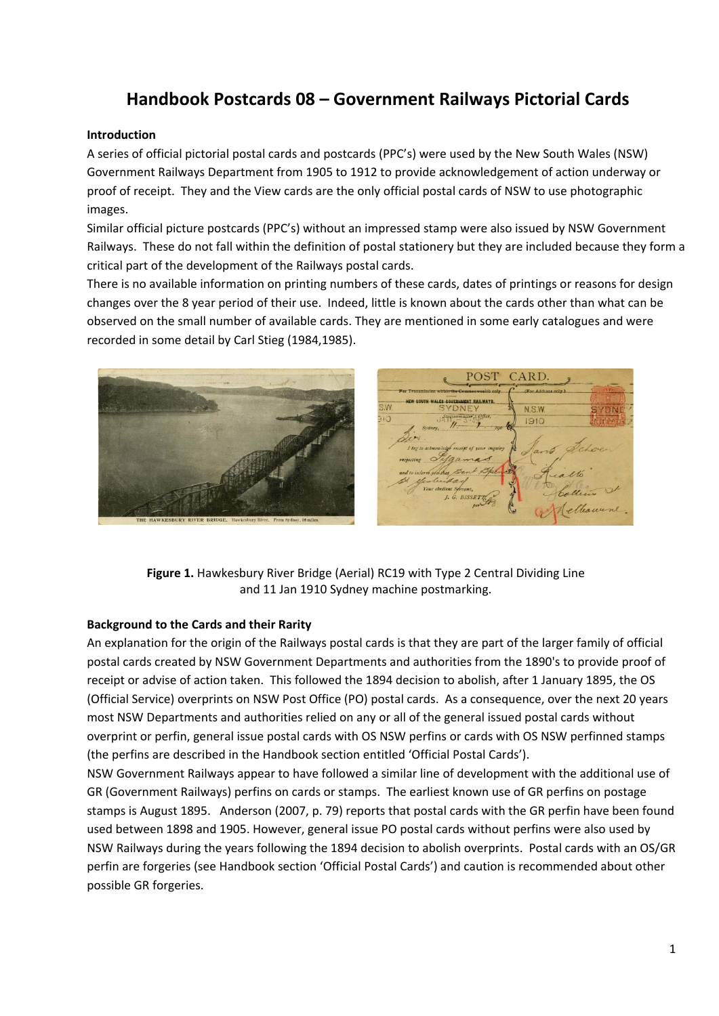# **Handbook Postcards 08 – Government Railways Pictorial Cards**

### **Introduction**

A series of official pictorial postal cards and postcards (PPC's) were used by the New South Wales (NSW) Government Railways Department from 1905 to 1912 to provide acknowledgement of action underway or proof of receipt. They and the View cards are the only official postal cards of NSW to use photographic images.

Similar official picture postcards (PPC's) without an impressed stamp were also issued by NSW Government Railways. These do not fall within the definition of postal stationery but they are included because they form a critical part of the development of the Railways postal cards.

There is no available information on printing numbers of these cards, dates of printings or reasons for design changes over the 8 year period of their use. Indeed, little is known about the cards other than what can be observed on the small number of available cards. They are mentioned in some early catalogues and were recorded in some detail by Carl Stieg (1984,1985).



**Figure 1.** Hawkesbury River Bridge (Aerial) RC19 with Type 2 Central Dividing Line and 11 Jan 1910 Sydney machine postmarking.

#### **Background to the Cards and their Rarity**

An explanation for the origin of the Railways postal cards is that they are part of the larger family of official postal cards created by NSW Government Departments and authorities from the 1890's to provide proof of receipt or advise of action taken. This followed the 1894 decision to abolish, after 1 January 1895, the OS (Official Service) overprints on NSW Post Office (PO) postal cards. As a consequence, over the next 20 years most NSW Departments and authorities relied on any or all of the general issued postal cards without overprint or perfin, general issue postal cards with OS NSW perfins or cards with OS NSW perfinned stamps (the perfins are described in the Handbook section entitled 'Official Postal Cards').

NSW Government Railways appear to have followed a similar line of development with the additional use of GR (Government Railways) perfins on cards or stamps. The earliest known use of GR perfins on postage stamps is August 1895. Anderson (2007, p. 79) reports that postal cards with the GR perfin have been found used between 1898 and 1905. However, general issue PO postal cards without perfins were also used by NSW Railways during the years following the 1894 decision to abolish overprints. Postal cards with an OS/GR perfin are forgeries (see Handbook section 'Official Postal Cards') and caution is recommended about other possible GR forgeries.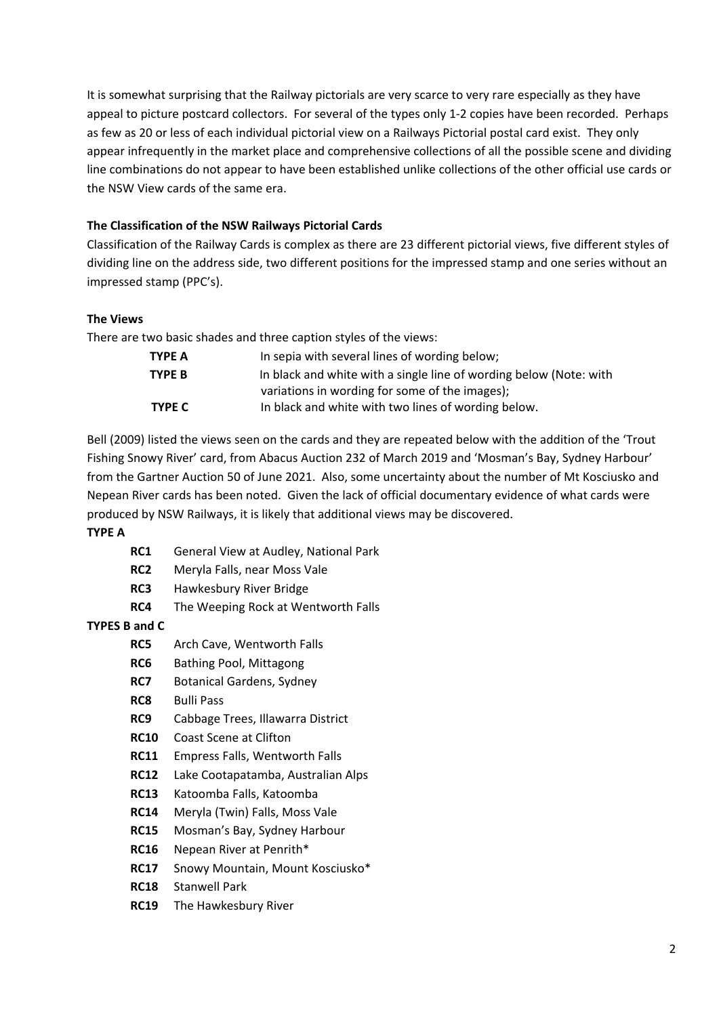It is somewhat surprising that the Railway pictorials are very scarce to very rare especially as they have appeal to picture postcard collectors. For several of the types only 1‐2 copies have been recorded. Perhaps as few as 20 or less of each individual pictorial view on a Railways Pictorial postal card exist. They only appear infrequently in the market place and comprehensive collections of all the possible scene and dividing line combinations do not appear to have been established unlike collections of the other official use cards or the NSW View cards of the same era.

# **The Classification of the NSW Railways Pictorial Cards**

Classification of the Railway Cards is complex as there are 23 different pictorial views, five different styles of dividing line on the address side, two different positions for the impressed stamp and one series without an impressed stamp (PPC's).

# **The Views**

There are two basic shades and three caption styles of the views:

| TYPE A        | In sepia with several lines of wording below;                      |
|---------------|--------------------------------------------------------------------|
| TYPE B        | In black and white with a single line of wording below (Note: with |
|               | variations in wording for some of the images);                     |
| <b>TYPE C</b> | In black and white with two lines of wording below.                |

Bell (2009) listed the views seen on the cards and they are repeated below with the addition of the 'Trout Fishing Snowy River' card, from Abacus Auction 232 of March 2019 and 'Mosman's Bay, Sydney Harbour' from the Gartner Auction 50 of June 2021. Also, some uncertainty about the number of Mt Kosciusko and Nepean River cards has been noted. Given the lack of official documentary evidence of what cards were produced by NSW Railways, it is likely that additional views may be discovered.

#### **TYPE A**

- **RC1** General View at Audley, National Park
- **RC2** Meryla Falls, near Moss Vale
- **RC3** Hawkesbury River Bridge
- **RC4** The Weeping Rock at Wentworth Falls

# **TYPES B and C**

- **RC5** Arch Cave, Wentworth Falls
- **RC6** Bathing Pool, Mittagong
- **RC7** Botanical Gardens, Sydney
- **RC8** Bulli Pass
- **RC9** Cabbage Trees, Illawarra District
- **RC10** Coast Scene at Clifton
- **RC11** Empress Falls, Wentworth Falls
- **RC12** Lake Cootapatamba, Australian Alps
- **RC13** Katoomba Falls, Katoomba
- **RC14** Meryla (Twin) Falls, Moss Vale
- **RC15** Mosman's Bay, Sydney Harbour
- **RC16** Nepean River at Penrith\*
- **RC17** Snowy Mountain, Mount Kosciusko\*
- **RC18** Stanwell Park
- **RC19** The Hawkesbury River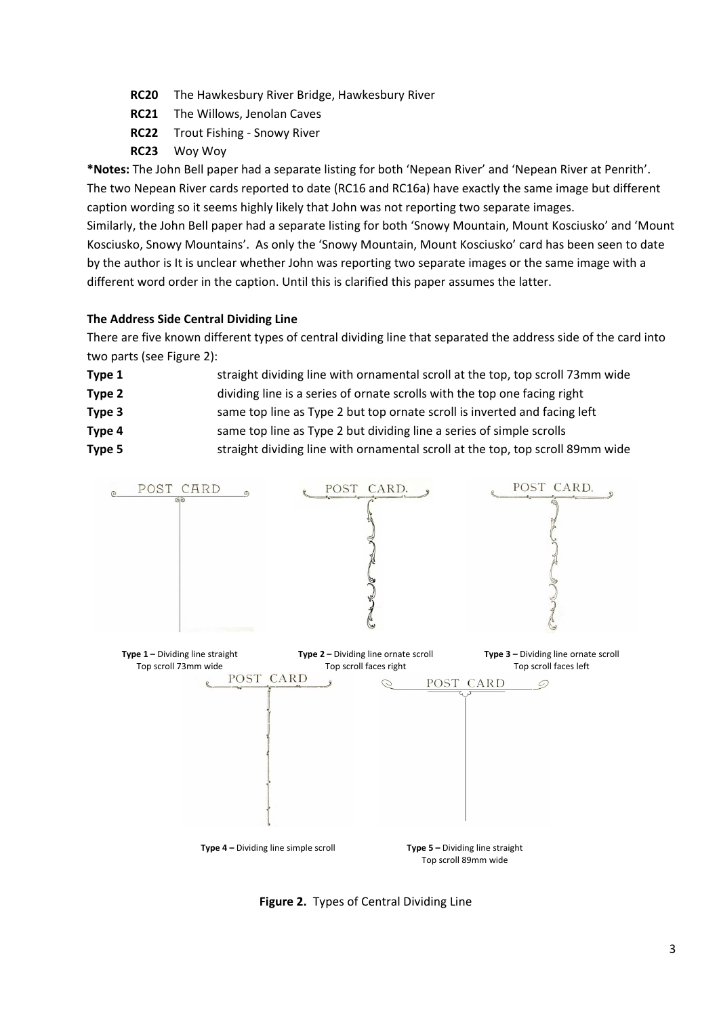- **RC20** The Hawkesbury River Bridge, Hawkesbury River
- **RC21** The Willows, Jenolan Caves
- **RC22** Trout Fishing ‐ Snowy River
- **RC23** Woy Woy

**\*Notes:** The John Bell paper had a separate listing for both 'Nepean River' and 'Nepean River at Penrith'. The two Nepean River cards reported to date (RC16 and RC16a) have exactly the same image but different caption wording so it seems highly likely that John was not reporting two separate images. Similarly, the John Bell paper had a separate listing for both 'Snowy Mountain, Mount Kosciusko' and 'Mount Kosciusko, Snowy Mountains'. As only the 'Snowy Mountain, Mount Kosciusko' card has been seen to date by the author is It is unclear whether John was reporting two separate images or the same image with a different word order in the caption. Until this is clarified this paper assumes the latter.

# **The Address Side Central Dividing Line**

There are five known different types of central dividing line that separated the address side of the card into two parts (see Figure 2):

- **Type 1** straight dividing line with ornamental scroll at the top, top scroll 73mm wide
- **Type 2**  dividing line is a series of ornate scrolls with the top one facing right
- **Type 3 same top line as Type 2 but top ornate scroll is inverted and facing left**
- **Type 4** same top line as Type 2 but dividing line a series of simple scrolls
- **Type 5** straight dividing line with ornamental scroll at the top, top scroll 89mm wide



**Figure 2.** Types of Central Dividing Line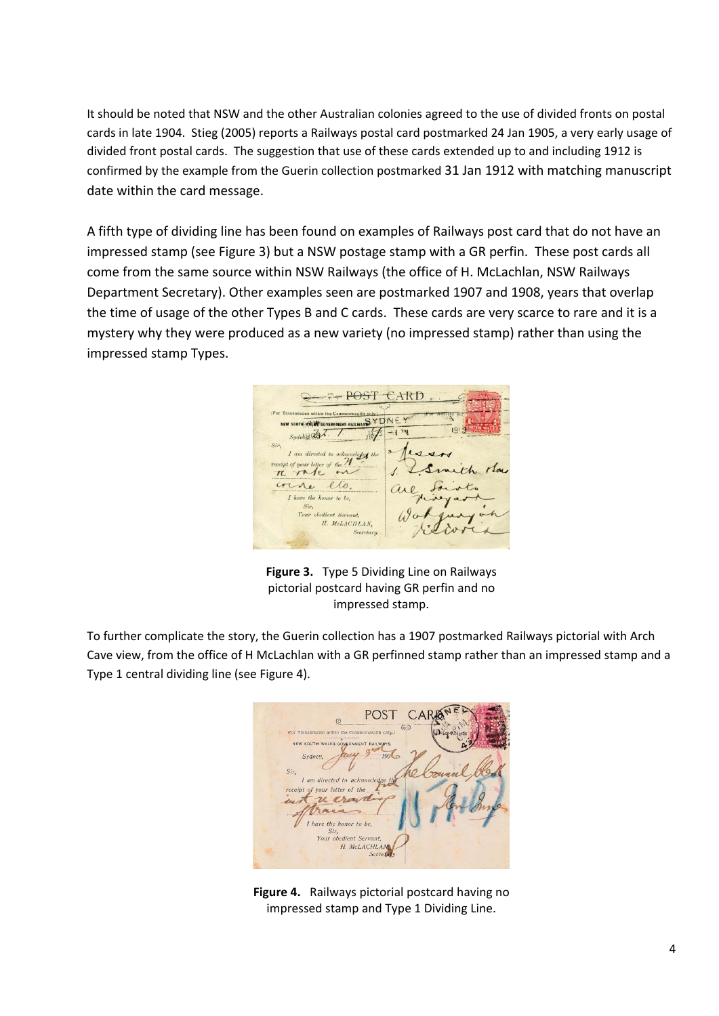It should be noted that NSW and the other Australian colonies agreed to the use of divided fronts on postal cards in late 1904. Stieg (2005) reports a Railways postal card postmarked 24 Jan 1905, a very early usage of divided front postal cards. The suggestion that use of these cards extended up to and including 1912 is confirmed by the example from the Guerin collection postmarked 31 Jan 1912 with matching manuscript date within the card message.

A fifth type of dividing line has been found on examples of Railways post card that do not have an impressed stamp (see Figure 3) but a NSW postage stamp with a GR perfin. These post cards all come from the same source within NSW Railways (the office of H. McLachlan, NSW Railways Department Secretary). Other examples seen are postmarked 1907 and 1908, years that overlap the time of usage of the other Types B and C cards. These cards are very scarce to rare and it is a mystery why they were produced as a new variety (no impressed stamp) rather than using the impressed stamp Types.



**Figure 3.** Type 5 Dividing Line on Railways pictorial postcard having GR perfin and no impressed stamp.

To further complicate the story, the Guerin collection has a 1907 postmarked Railways pictorial with Arch Cave view, from the office of H McLachlan with a GR perfinned stamp rather than an impressed stamp and a Type 1 central dividing line (see Figure 4).



**Figure 4.** Railways pictorial postcard having no impressed stamp and Type 1 Dividing Line.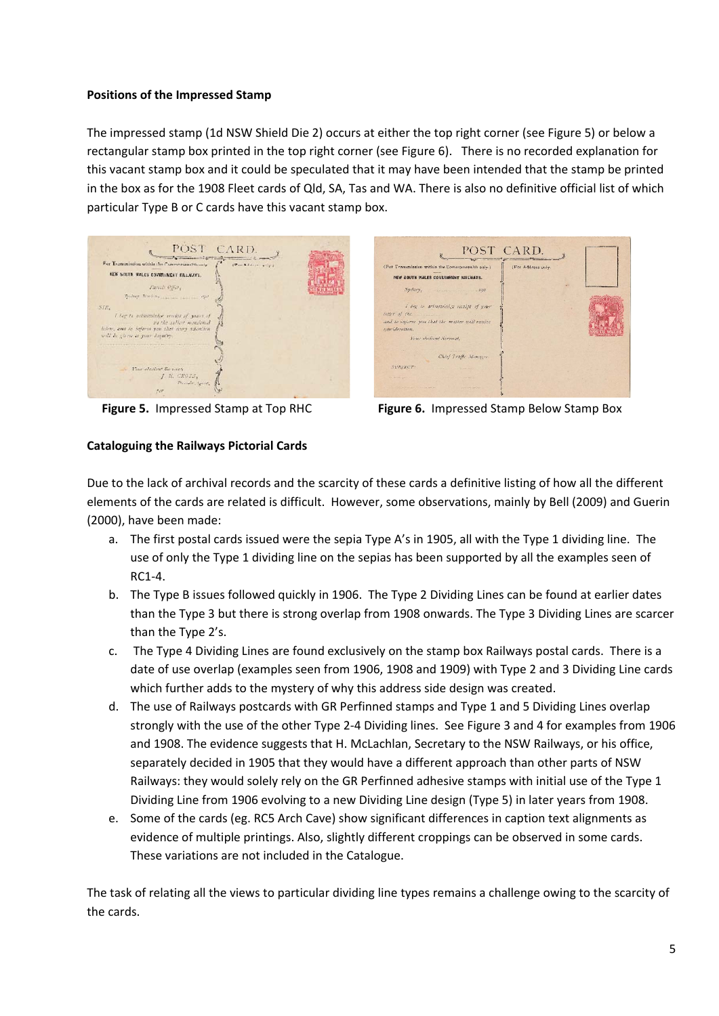## **Positions of the Impressed Stamp**

The impressed stamp (1d NSW Shield Die 2) occurs at either the top right corner (see Figure 5) or below a rectangular stamp box printed in the top right corner (see Figure 6). There is no recorded explanation for this vacant stamp box and it could be speculated that it may have been intended that the stamp be printed in the box as for the 1908 Fleet cards of Qld, SA, Tas and WA. There is also no definitive official list of which particular Type B or C cards have this vacant stamp box.

| POST CARD.                                                                                                                                             |                    |
|--------------------------------------------------------------------------------------------------------------------------------------------------------|--------------------|
| For Teamunission within the Commonwealth only.                                                                                                         | (Par Address only) |
| KEW SCUTH WALES COVERANENT RAILWAYS.                                                                                                                   |                    |
| Tarich Office,                                                                                                                                         |                    |
|                                                                                                                                                        |                    |
| SIE.                                                                                                                                                   |                    |
| I leg to orientation certified power of<br>nu che sullove monstonial<br>holens, and to inform you that may affective<br>will be given to your impairs. |                    |
| CONTRACTORS SERVICE CONTRACTORS OF PROPERTY CONTRACTORS OF THE CONTRACTORS                                                                             |                    |
|                                                                                                                                                        |                    |
| Your accient Sounds.                                                                                                                                   |                    |
| J. E. CROSS.<br>Parrele Aprilet.                                                                                                                       |                    |
|                                                                                                                                                        |                    |





**Figure 5.** Impressed Stamp at Top RHC **Figure 6.** Impressed Stamp Below Stamp Box

# **Cataloguing the Railways Pictorial Cards**

Due to the lack of archival records and the scarcity of these cards a definitive listing of how all the different elements of the cards are related is difficult. However, some observations, mainly by Bell (2009) and Guerin (2000), have been made:

- a. The first postal cards issued were the sepia Type A's in 1905, all with the Type 1 dividing line. The use of only the Type 1 dividing line on the sepias has been supported by all the examples seen of RC1‐4.
- b. The Type B issues followed quickly in 1906. The Type 2 Dividing Lines can be found at earlier dates than the Type 3 but there is strong overlap from 1908 onwards. The Type 3 Dividing Lines are scarcer than the Type 2's.
- c. The Type 4 Dividing Lines are found exclusively on the stamp box Railways postal cards. There is a date of use overlap (examples seen from 1906, 1908 and 1909) with Type 2 and 3 Dividing Line cards which further adds to the mystery of why this address side design was created.
- d. The use of Railways postcards with GR Perfinned stamps and Type 1 and 5 Dividing Lines overlap strongly with the use of the other Type 2‐4 Dividing lines. See Figure 3 and 4 for examples from 1906 and 1908. The evidence suggests that H. McLachlan, Secretary to the NSW Railways, or his office, separately decided in 1905 that they would have a different approach than other parts of NSW Railways: they would solely rely on the GR Perfinned adhesive stamps with initial use of the Type 1 Dividing Line from 1906 evolving to a new Dividing Line design (Type 5) in later years from 1908.
- e. Some of the cards (eg. RC5 Arch Cave) show significant differences in caption text alignments as evidence of multiple printings. Also, slightly different croppings can be observed in some cards. These variations are not included in the Catalogue.

The task of relating all the views to particular dividing line types remains a challenge owing to the scarcity of the cards.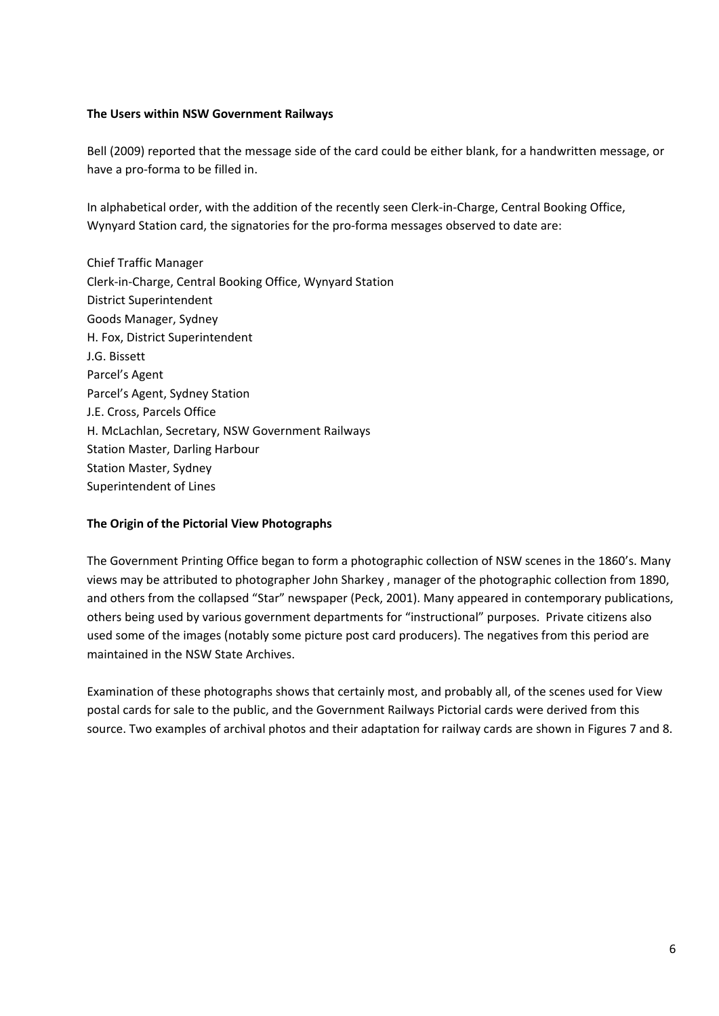### **The Users within NSW Government Railways**

Bell (2009) reported that the message side of the card could be either blank, for a handwritten message, or have a pro‐forma to be filled in.

In alphabetical order, with the addition of the recently seen Clerk‐in‐Charge, Central Booking Office, Wynyard Station card, the signatories for the pro-forma messages observed to date are:

Chief Traffic Manager Clerk‐in‐Charge, Central Booking Office, Wynyard Station District Superintendent Goods Manager, Sydney H. Fox, District Superintendent J.G. Bissett Parcel's Agent Parcel's Agent, Sydney Station J.E. Cross, Parcels Office H. McLachlan, Secretary, NSW Government Railways Station Master, Darling Harbour Station Master, Sydney Superintendent of Lines

# **The Origin of the Pictorial View Photographs**

The Government Printing Office began to form a photographic collection of NSW scenes in the 1860's. Many views may be attributed to photographer John Sharkey , manager of the photographic collection from 1890, and others from the collapsed "Star" newspaper (Peck, 2001). Many appeared in contemporary publications, others being used by various government departments for "instructional" purposes. Private citizens also used some of the images (notably some picture post card producers). The negatives from this period are maintained in the NSW State Archives.

Examination of these photographs shows that certainly most, and probably all, of the scenes used for View postal cards for sale to the public, and the Government Railways Pictorial cards were derived from this source. Two examples of archival photos and their adaptation for railway cards are shown in Figures 7 and 8.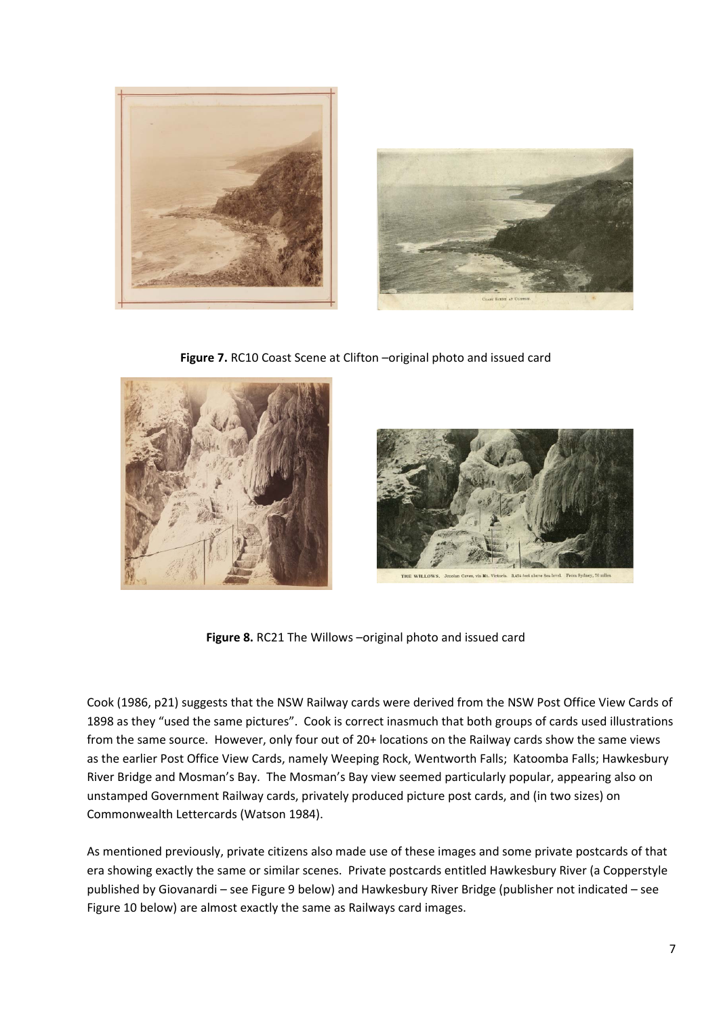



**Figure 7.** RC10 Coast Scene at Clifton –original photo and issued card





**Figure 8.** RC21 The Willows –original photo and issued card

Cook (1986, p21) suggests that the NSW Railway cards were derived from the NSW Post Office View Cards of 1898 as they "used the same pictures". Cook is correct inasmuch that both groups of cards used illustrations from the same source. However, only four out of 20+ locations on the Railway cards show the same views as the earlier Post Office View Cards, namely Weeping Rock, Wentworth Falls; Katoomba Falls; Hawkesbury River Bridge and Mosman's Bay. The Mosman's Bay view seemed particularly popular, appearing also on unstamped Government Railway cards, privately produced picture post cards, and (in two sizes) on Commonwealth Lettercards (Watson 1984).

As mentioned previously, private citizens also made use of these images and some private postcards of that era showing exactly the same or similar scenes. Private postcards entitled Hawkesbury River (a Copperstyle published by Giovanardi – see Figure 9 below) and Hawkesbury River Bridge (publisher not indicated – see Figure 10 below) are almost exactly the same as Railways card images.